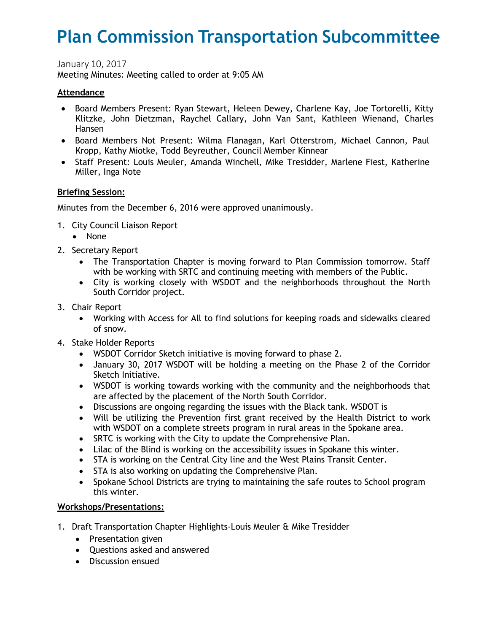# **Plan Commission Transportation Subcommittee**

January 10, 2017

Meeting Minutes: Meeting called to order at 9:05 AM

#### **Attendance**

- Board Members Present: Ryan Stewart, Heleen Dewey, Charlene Kay, Joe Tortorelli, Kitty Klitzke, John Dietzman, Raychel Callary, John Van Sant, Kathleen Wienand, Charles Hansen
- Board Members Not Present: Wilma Flanagan, Karl Otterstrom, Michael Cannon, Paul Kropp, Kathy Miotke, Todd Beyreuther, Council Member Kinnear
- Staff Present: Louis Meuler, Amanda Winchell, Mike Tresidder, Marlene Fiest, Katherine Miller, Inga Note

### **Briefing Session:**

Minutes from the December 6, 2016 were approved unanimously.

- 1. City Council Liaison Report
	- None
- 2. Secretary Report
	- The Transportation Chapter is moving forward to Plan Commission tomorrow. Staff with be working with SRTC and continuing meeting with members of the Public.
	- City is working closely with WSDOT and the neighborhoods throughout the North South Corridor project.
- 3. Chair Report
	- Working with Access for All to find solutions for keeping roads and sidewalks cleared of snow.
- 4. Stake Holder Reports
	- WSDOT Corridor Sketch initiative is moving forward to phase 2.
	- January 30, 2017 WSDOT will be holding a meeting on the Phase 2 of the Corridor Sketch Initiative.
	- WSDOT is working towards working with the community and the neighborhoods that are affected by the placement of the North South Corridor.
	- Discussions are ongoing regarding the issues with the Black tank. WSDOT is
	- Will be utilizing the Prevention first grant received by the Health District to work with WSDOT on a complete streets program in rural areas in the Spokane area.
	- SRTC is working with the City to update the Comprehensive Plan.
	- Lilac of the Blind is working on the accessibility issues in Spokane this winter.
	- STA is working on the Central City line and the West Plains Transit Center.
	- STA is also working on updating the Comprehensive Plan.
	- Spokane School Districts are trying to maintaining the safe routes to School program this winter.

## **Workshops/Presentations:**

- 1. Draft Transportation Chapter Highlights-Louis Meuler & Mike Tresidder
	- Presentation given
	- Questions asked and answered
	- Discussion ensued